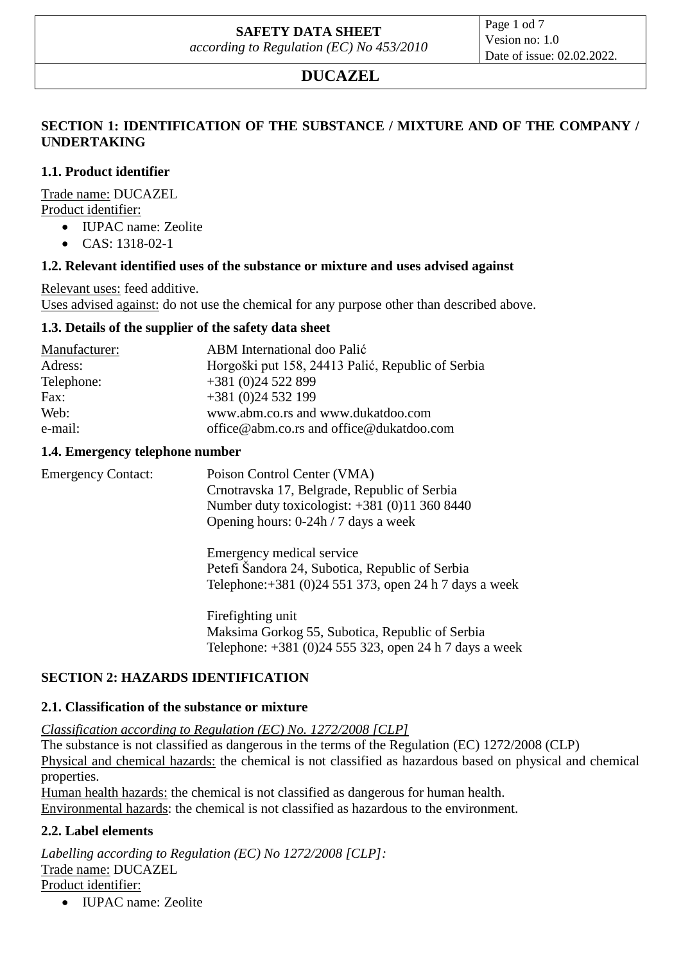# **SAFETY DATA SHEET**

*according to Regulation (EC) No 453/2010*

Page 1 od 7 Vesion no: 1.0 Date of issue: 02.02.2022.

# **DUCAZEL**

### **SECTION 1: IDENTIFICATION OF THE SUBSTANCE / MIXTURE AND OF THE COMPANY / UNDERTAKING**

### **1.1. Product identifier**

Trade name: DUCAZEL Product identifier:

- IUPAC name: Zeolite
- CAS: 1318-02-1

### **1.2. Relevant identified uses of the substance or mixture and uses advised against**

Relevant uses: feed additive.

Uses advised against: do not use the chemical for any purpose other than described above.

### **1.3. Details of the supplier of the safety data sheet**

| Manufacturer: | ABM International doo Palić                       |  |
|---------------|---------------------------------------------------|--|
| Adress:       | Horgoški put 158, 24413 Palić, Republic of Serbia |  |
| Telephone:    | $+381(0)24522899$                                 |  |
| Fax:          | $+381(0)24532199$                                 |  |
| Web:          | www.abm.co.rs and www.dukatdoo.com                |  |
| e-mail:       | office@abm.co.rs and office@dukatdoo.com          |  |

#### **1.4. Emergency telephone number**

Emergency Contact: Poison Control Center (VMA) Crnotravska 17, Belgrade, Republic of Serbia Number duty toxicologist: +381 (0)11 360 8440 Opening hours: 0-24h / 7 days a week Emergency medical service

Petefi Šandora 24, Subotica, Republic of Serbia Telephone:+381 (0)24 551 373, open 24 h 7 days a week

Firefighting unit Maksima Gorkog 55, Subotica, Republic of Serbia Telephone: +381 (0)24 555 323, open 24 h 7 days a week

### **SECTION 2: HAZARDS IDENTIFICATION**

### **2.1. Classification of the substance or mixture**

*Classification according to Regulation (EC) No. 1272/2008 [CLP]*

The substance is not classified as dangerous in the terms of the Regulation (EC) 1272/2008 (CLP) Physical and chemical hazards: the chemical is not classified as hazardous based on physical and chemical properties.

Human health hazards: the chemical is not classified as dangerous for human health. Environmental hazards: the chemical is not classified as hazardous to the environment.

### **2.2. Label elements**

*Labelling according to Regulation (EC) No 1272/2008 [CLP]:* Trade name: DUCAZEL Product identifier:

• IUPAC name: Zeolite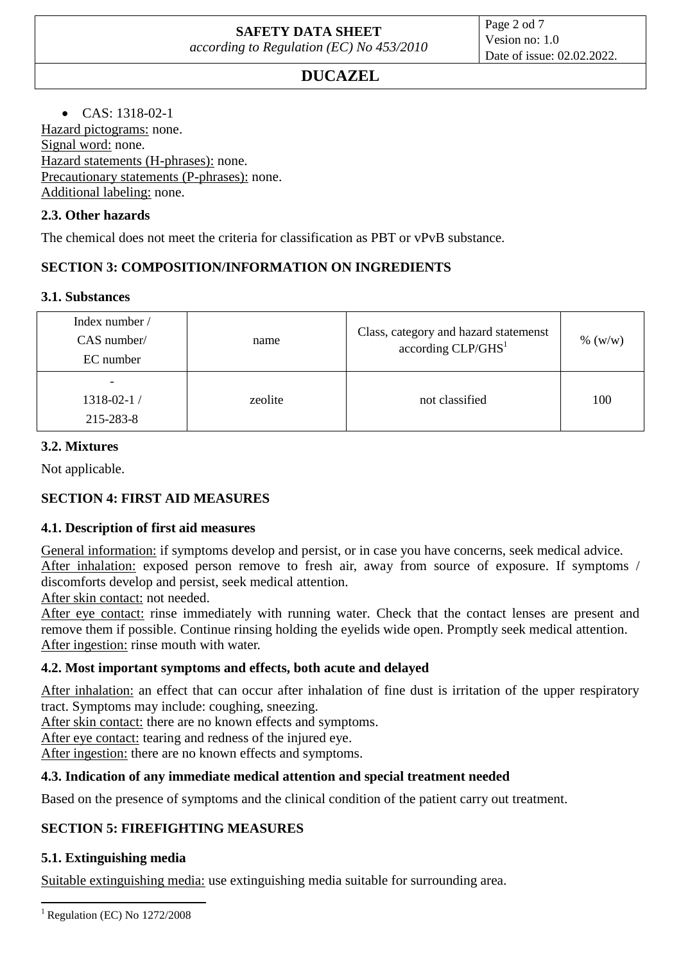Page 2 od 7 Vesion no: 1.0 Date of issue: 02.02.2022.

# **DUCAZEL**

 $\bullet$  CAS: 1318-02-1

Hazard pictograms: none. Signal word: none. Hazard statements (H-phrases): none. Precautionary statements (P-phrases): none. Additional labeling: none.

### **2.3. Other hazards**

The chemical does not meet the criteria for classification as PBT or vPvB substance.

# **SECTION 3: COMPOSITION/INFORMATION ON INGREDIENTS**

### **3.1. Substances**

| Index number /<br>$CAS$ number/<br>EC number | name    | Class, category and hazard statemenst<br>according CLP/GHS <sup>1</sup> | % (w/w) |
|----------------------------------------------|---------|-------------------------------------------------------------------------|---------|
| $1318 - 02 - 1/$<br>215-283-8                | zeolite | not classified                                                          | 100     |

### **3.2. Mixtures**

Not applicable.

# **SECTION 4: FIRST AID MEASURES**

### **4.1. Description of first aid measures**

General information: if symptoms develop and persist, or in case you have concerns, seek medical advice. After inhalation: exposed person remove to fresh air, away from source of exposure. If symptoms / discomforts develop and persist, seek medical attention.

After skin contact: not needed.

After eye contact: rinse immediately with running water. Check that the contact lenses are present and remove them if possible. Continue rinsing holding the eyelids wide open. Promptly seek medical attention. After ingestion: rinse mouth with water.

### **4.2. Most important symptoms and effects, both acute and delayed**

After inhalation: an effect that can occur after inhalation of fine dust is irritation of the upper respiratory tract. Symptoms may include: coughing, sneezing.

After skin contact: there are no known effects and symptoms.

After eye contact: tearing and redness of the injured eye.

After ingestion: there are no known effects and symptoms.

### **4.3. Indication of any immediate medical attention and special treatment needed**

Based on the presence of symptoms and the clinical condition of the patient carry out treatment.

# **SECTION 5: FIREFIGHTING MEASURES**

### **5.1. Extinguishing media**

Suitable extinguishing media: use extinguishing media suitable for surrounding area.

**<sup>.</sup>**  $1$  Regulation (EC) No 1272/2008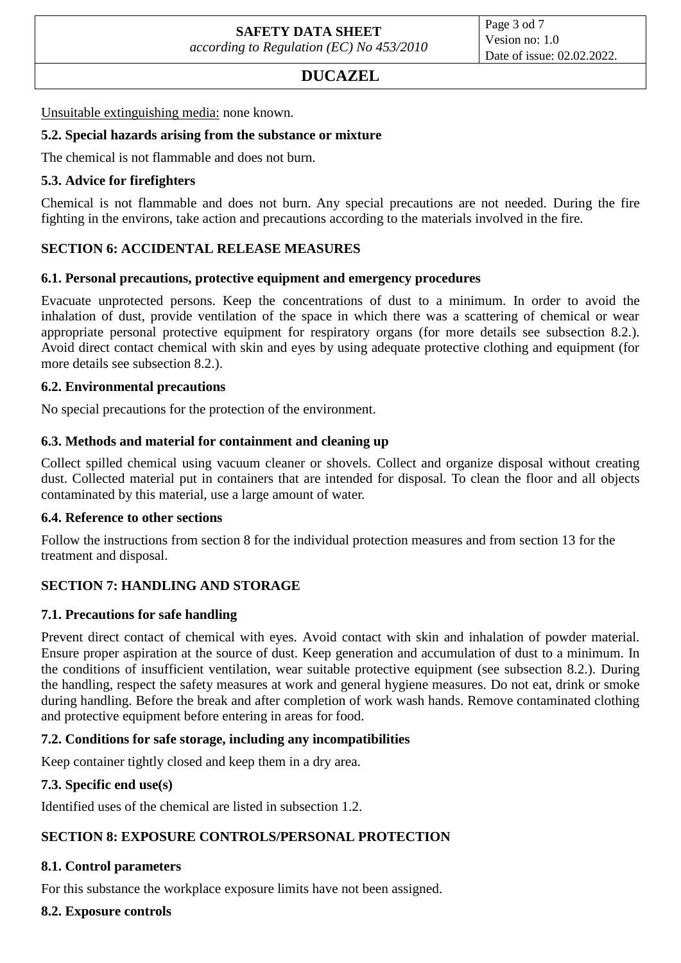### **DUCAZEL**

Unsuitable extinguishing media: none known.

#### **5.2. Special hazards arising from the substance or mixture**

The chemical is not flammable and does not burn.

### **5.3. Advice for firefighters**

Chemical is not flammable and does not burn. Any special precautions are not needed. During the fire fighting in the environs, take action and precautions according to the materials involved in the fire.

### **SECTION 6: ACCIDENTAL RELEASE MEASURES**

#### **6.1. Personal precautions, protective equipment and emergency procedures**

Evacuate unprotected persons. Keep the concentrations of dust to a minimum. In order to avoid the inhalation of dust, provide ventilation of the space in which there was a scattering of chemical or wear appropriate personal protective equipment for respiratory organs (for more details see subsection 8.2.). Avoid direct contact chemical with skin and eyes by using adequate protective clothing and equipment (for more details see subsection 8.2.).

#### **6.2. Environmental precautions**

No special precautions for the protection of the environment.

### **6.3. Methods and material for containment and cleaning up**

Collect spilled chemical using vacuum cleaner or shovels. Collect and organize disposal without creating dust. Collected material put in containers that are intended for disposal. To clean the floor and all objects contaminated by this material, use a large amount of water.

#### **6.4. Reference to other sections**

Follow the instructions from section 8 for the individual protection measures and from section 13 for the treatment and disposal.

### **SECTION 7: HANDLING AND STORAGE**

### **7.1. Precautions for safe handling**

Prevent direct contact of chemical with eyes. Avoid contact with skin and inhalation of powder material. Ensure proper aspiration at the source of dust. Keep generation and accumulation of dust to a minimum. In the conditions of insufficient ventilation, wear suitable protective equipment (see subsection 8.2.). During the handling, respect the safety measures at work and general hygiene measures. Do not eat, drink or smoke during handling. Before the break and after completion of work wash hands. Remove contaminated clothing and protective equipment before entering in areas for food.

### **7.2. Conditions for safe storage, including any incompatibilities**

Keep container tightly closed and keep them in a dry area.

### **7.3. Specific end use(s)**

Identified uses of the chemical are listed in subsection 1.2.

### **SECTION 8: EXPOSURE CONTROLS/PERSONAL PROTECTION**

### **8.1. Control parameters**

For this substance the workplace exposure limits have not been assigned.

**8.2. Exposure controls**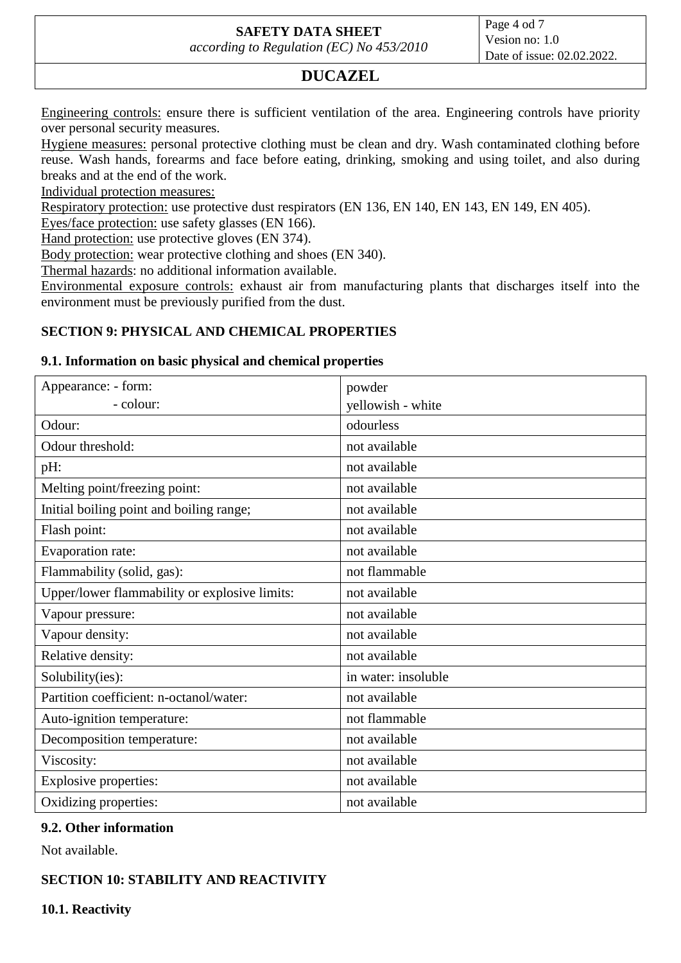# **SAFETY DATA SHEET**

*according to Regulation (EC) No 453/2010*

Page 4 od 7 Vesion no: 1.0 Date of issue: 02.02.2022.

# **DUCAZEL**

Engineering controls: ensure there is sufficient ventilation of the area. Engineering controls have priority over personal security measures.

Hygiene measures: personal protective clothing must be clean and dry. Wash contaminated clothing before reuse. Wash hands, forearms and face before eating, drinking, smoking and using toilet, and also during breaks and at the end of the work.

Individual protection measures:

Respiratory protection: use protective dust respirators (EN 136, EN 140, EN 143, EN 149, EN 405).

Eyes/face protection: use safety glasses (EN 166).

Hand protection: use protective gloves (EN 374).

Body protection: wear protective clothing and shoes (EN 340).

Thermal hazards: no additional information available.

Environmental exposure controls: exhaust air from manufacturing plants that discharges itself into the environment must be previously purified from the dust.

#### **SECTION 9: PHYSICAL AND CHEMICAL PROPERTIES**

#### **9.1. Information on basic physical and chemical properties**

| Appearance: - form:                           | powder              |
|-----------------------------------------------|---------------------|
| - colour:                                     | yellowish - white   |
| Odour:                                        | odourless           |
| Odour threshold:                              | not available       |
| pH:                                           | not available       |
| Melting point/freezing point:                 | not available       |
| Initial boiling point and boiling range;      | not available       |
| Flash point:                                  | not available       |
| Evaporation rate:                             | not available       |
| Flammability (solid, gas):                    | not flammable       |
| Upper/lower flammability or explosive limits: | not available       |
| Vapour pressure:                              | not available       |
| Vapour density:                               | not available       |
| Relative density:                             | not available       |
| Solubility(ies):                              | in water: insoluble |
| Partition coefficient: n-octanol/water:       | not available       |
| Auto-ignition temperature:                    | not flammable       |
| Decomposition temperature:                    | not available       |
| Viscosity:                                    | not available       |
| <b>Explosive properties:</b>                  | not available       |
| Oxidizing properties:                         | not available       |

#### **9.2. Other information**

Not available.

### **SECTION 10: STABILITY AND REACTIVITY**

**10.1. Reactivity**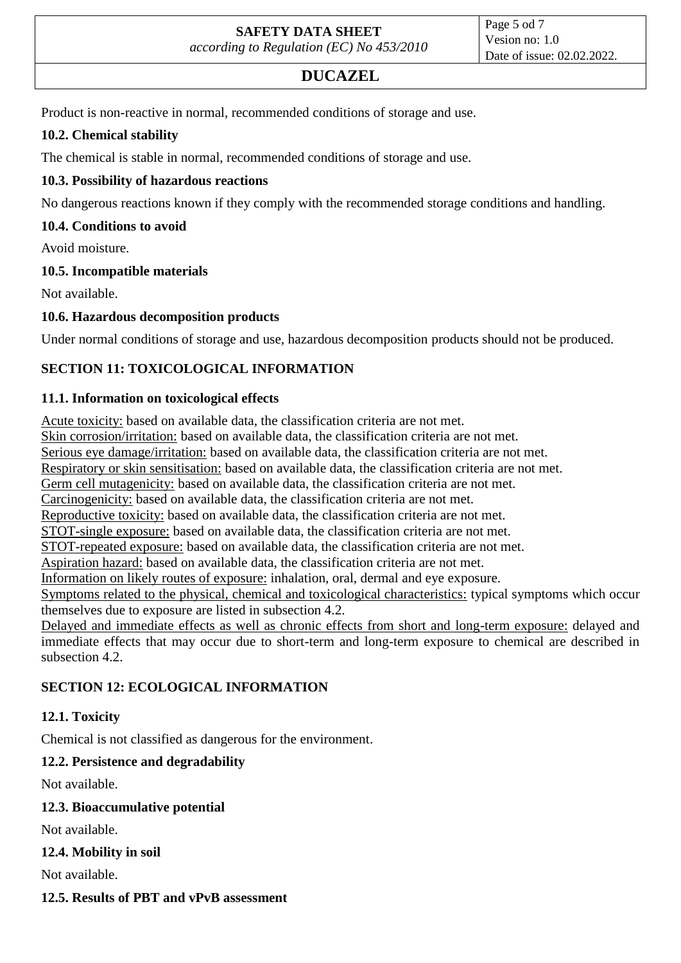# **DUCAZEL**

Product is non-reactive in normal, recommended conditions of storage and use.

### **10.2. Chemical stability**

The chemical is stable in normal, recommended conditions of storage and use.

### **10.3. Possibility of hazardous reactions**

No dangerous reactions known if they comply with the recommended storage conditions and handling.

### **10.4. Conditions to avoid**

Avoid moisture.

#### **10.5. Incompatible materials**

Not available.

### **10.6. Hazardous decomposition products**

Under normal conditions of storage and use, hazardous decomposition products should not be produced.

## **SECTION 11: TOXICOLOGICAL INFORMATION**

#### **11.1. Information on toxicological effects**

Acute toxicity: based on available data, the classification criteria are not met.

Skin corrosion/irritation: based on available data, the classification criteria are not met.

Serious eye damage/irritation: based on available data, the classification criteria are not met.

Respiratory or skin sensitisation: based on available data, the classification criteria are not met.

Germ cell mutagenicity: based on available data, the classification criteria are not met.

Carcinogenicity: based on available data, the classification criteria are not met.

Reproductive toxicity: based on available data, the classification criteria are not met.

STOT-single exposure: based on available data, the classification criteria are not met.

STOT-repeated exposure: based on available data, the classification criteria are not met.

Aspiration hazard: based on available data, the classification criteria are not met.

Information on likely routes of exposure: inhalation, oral, dermal and eye exposure.

Symptoms related to the physical, chemical and toxicological characteristics: typical symptoms which occur themselves due to exposure are listed in subsection 4.2.

Delayed and immediate effects as well as chronic effects from short and long-term exposure: delayed and immediate effects that may occur due to short-term and long-term exposure to chemical are described in subsection 4.2.

### **SECTION 12: ECOLOGICAL INFORMATION**

### **12.1. Toxicity**

Chemical is not classified as dangerous for the environment.

### **12.2. Persistence and degradability**

Not available.

### **12.3. Bioaccumulative potential**

Not available.

### **12.4. Mobility in soil**

Not available.

#### **12.5. Results of PBT and vPvB assessment**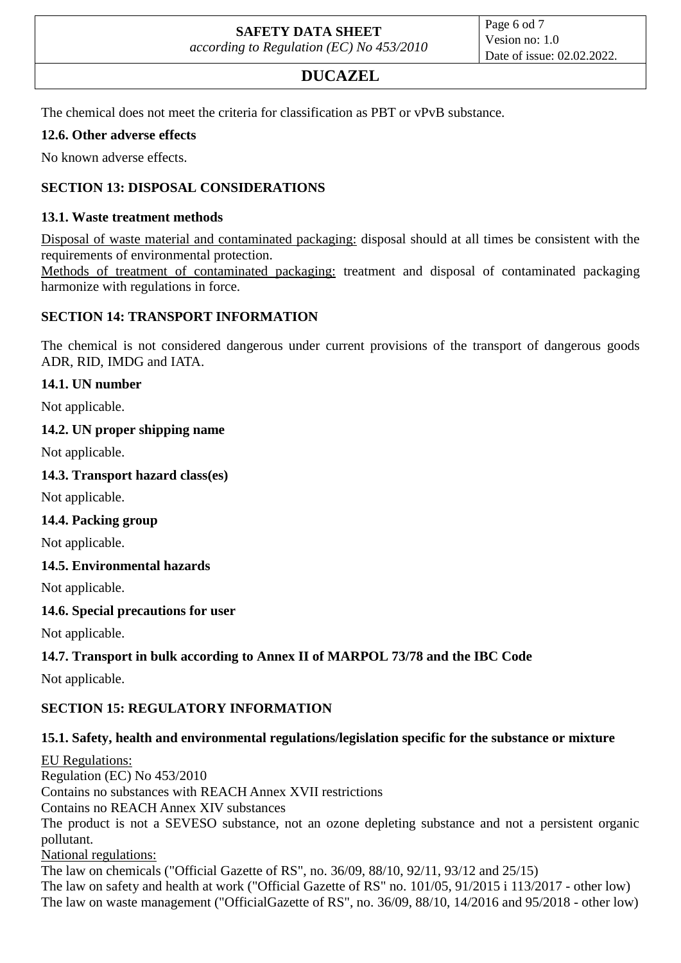# **DUCAZEL**

The chemical does not meet the criteria for classification as PBT or vPvB substance.

### **12.6. Other adverse effects**

No known adverse effects.

### **SECTION 13: DISPOSAL CONSIDERATIONS**

### **13.1. Waste treatment methods**

Disposal of waste material and contaminated packaging: disposal should at all times be consistent with the requirements of environmental protection.

Methods of treatment of contaminated packaging: treatment and disposal of contaminated packaging harmonize with regulations in force.

### **SECTION 14: TRANSPORT INFORMATION**

The chemical is not considered dangerous under current provisions of the transport of dangerous goods ADR, RID, IMDG and IATA.

### **14.1. UN number**

Not applicable.

### **14.2. UN proper shipping name**

Not applicable.

### **14.3. Transport hazard class(es)**

Not applicable.

#### **14.4. Packing group**

Not applicable.

### **14.5. Environmental hazards**

Not applicable.

### **14.6. Special precautions for user**

Not applicable.

### **14.7. Transport in bulk according to Annex II of MARPOL 73/78 and the IBC Code**

Not applicable.

### **SECTION 15: REGULATORY INFORMATION**

### **15.1. Safety, health and environmental regulations/legislation specific for the substance or mixture**

EU Regulations: Regulation (EC) No 453/2010 Contains no substances with REACH Annex XVII restrictions Contains no REACH Annex XIV substances The product is not a SEVESO substance, not an ozone depleting substance and not a persistent organic pollutant. National regulations: The law on chemicals ("Official Gazette of RS", no. 36/09, 88/10, 92/11, 93/12 and 25/15) The law on safety and health at work ("Official Gazette of RS" no. 101/05, 91/2015 i 113/2017 - other low) The law on waste management ("OfficialGazette of RS", no. 36/09, 88/10, 14/2016 and 95/2018 - other low)